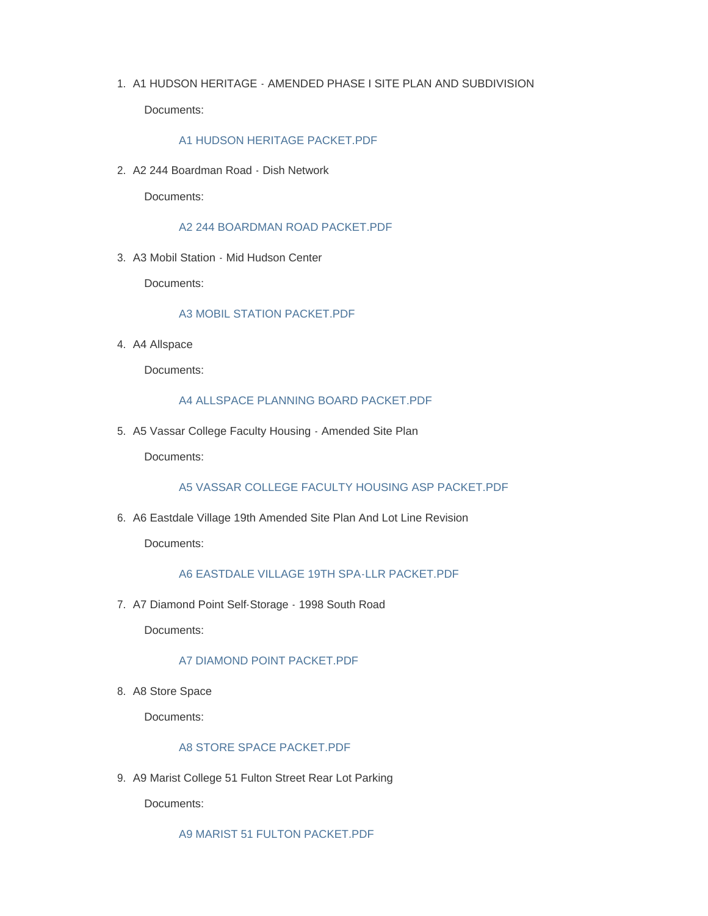1. A1 HUDSON HERITAGE - AMENDED PHASE I SITE PLAN AND SUBDIVISION

Documents:

## [A1 HUDSON HERITAGE PACKET.PDF](https://www.townofpoughkeepsie.com/AgendaCenter/ViewFile/Item/501?fileID=762)

A2 244 Boardman Road - Dish Network 2.

Documents:

[A2 244 BOARDMAN ROAD PACKET.PDF](https://www.townofpoughkeepsie.com/AgendaCenter/ViewFile/Item/485?fileID=746)

A3 Mobil Station - Mid Hudson Center 3.

Documents:

## [A3 MOBIL STATION PACKET.PDF](https://www.townofpoughkeepsie.com/AgendaCenter/ViewFile/Item/502?fileID=763)

4. A4 Allspace

Documents:

#### [A4 ALLSPACE PLANNING BOARD PACKET.PDF](https://www.townofpoughkeepsie.com/AgendaCenter/ViewFile/Item/504?fileID=765)

5. A5 Vassar College Faculty Housing - Amended Site Plan

Documents:

[A5 VASSAR COLLEGE FACULTY HOUSING ASP PACKET.PDF](https://www.townofpoughkeepsie.com/AgendaCenter/ViewFile/Item/488?fileID=749)

A6 Eastdale Village 19th Amended Site Plan And Lot Line Revision 6.

Documents:

# [A6 EASTDALE VILLAGE 19TH SPA-LLR PACKET.PDF](https://www.townofpoughkeepsie.com/AgendaCenter/ViewFile/Item/505?fileID=766)

7. A7 Diamond Point Self-Storage - 1998 South Road

Documents:

#### [A7 DIAMOND POINT PACKET.PDF](https://www.townofpoughkeepsie.com/AgendaCenter/ViewFile/Item/490?fileID=751)

8. A8 Store Space

Documents:

# [A8 STORE SPACE PACKET.PDF](https://www.townofpoughkeepsie.com/AgendaCenter/ViewFile/Item/491?fileID=752)

9. A9 Marist College 51 Fulton Street Rear Lot Parking

Documents:

[A9 MARIST 51 FULTON PACKET.PDF](https://www.townofpoughkeepsie.com/AgendaCenter/ViewFile/Item/500?fileID=761)